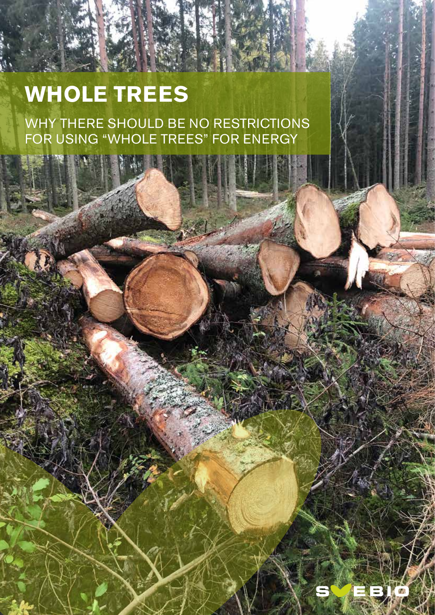# **WHOLE TREES**

WHY THERE SHOULD BE NO RESTRICTIONS FOR USING "WHOLE TREES" FOR ENERGY

WHOLE TREES

1

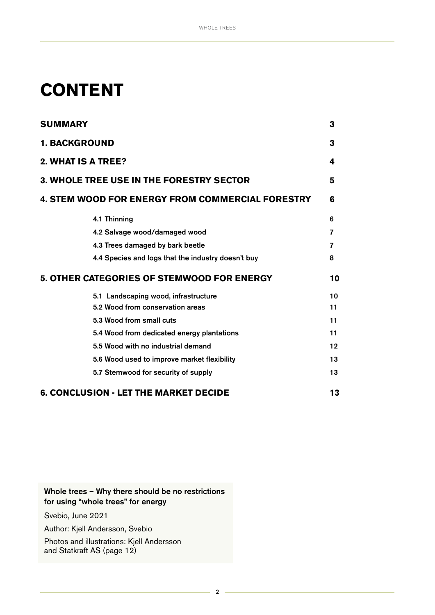## **CONTENT**

| <b>SUMMARY</b>                                          |                                                    | 3      |
|---------------------------------------------------------|----------------------------------------------------|--------|
| <b>1. BACKGROUND</b><br>2. WHAT IS A TREE?              |                                                    | 3<br>4 |
|                                                         |                                                    |        |
| <b>4. STEM WOOD FOR ENERGY FROM COMMERCIAL FORESTRY</b> |                                                    | 6      |
|                                                         | 4.1 Thinning                                       | 6      |
|                                                         | 4.2 Salvage wood/damaged wood                      | 7      |
|                                                         | 4.3 Trees damaged by bark beetle                   | 7      |
|                                                         | 4.4 Species and logs that the industry doesn't buy | 8      |
|                                                         | 5. OTHER CATEGORIES OF STEMWOOD FOR ENERGY         | 10     |
|                                                         | 5.1 Landscaping wood, infrastructure               | 10     |
|                                                         | 5.2 Wood from conservation areas                   | 11     |
|                                                         | 5.3 Wood from small cuts                           | 11     |
|                                                         | 5.4 Wood from dedicated energy plantations         | 11     |
|                                                         | 5.5 Wood with no industrial demand                 | 12     |
|                                                         | 5.6 Wood used to improve market flexibility        | 13     |
|                                                         | 5.7 Stemwood for security of supply                | 13     |
|                                                         | <b>6. CONCLUSION - LET THE MARKET DECIDE</b>       | 13     |

## Whole trees – Why there should be no restrictions for using "whole trees" for energy

Svebio, June 2021

Author: Kjell Andersson, Svebio

Photos and illustrations: Kjell Andersson and Statkraft AS (page 12)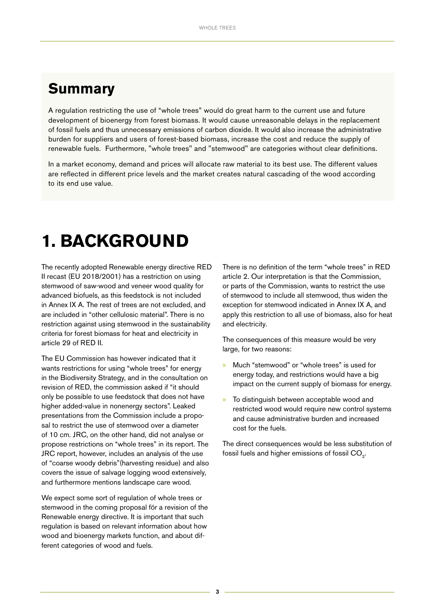## <span id="page-2-0"></span>**Summary**

A regulation restricting the use of "whole trees" would do great harm to the current use and future development of bioenergy from forest biomass. It would cause unreasonable delays in the replacement of fossil fuels and thus unnecessary emissions of carbon dioxide. It would also increase the administrative burden for suppliers and users of forest-based biomass, increase the cost and reduce the supply of renewable fuels. Furthermore, "whole trees" and "stemwood" are categories without clear definitions.

In a market economy, demand and prices will allocate raw material to its best use. The different values are reflected in different price levels and the market creates natural cascading of the wood according to its end use value.

## **1. BACKGROUND**

The recently adopted Renewable energy directive RED II recast (EU 2018/2001) has a restriction on using stemwood of saw-wood and veneer wood quality for advanced biofuels, as this feedstock is not included in Annex IX A. The rest of trees are not excluded, and are included in "other cellulosic material". There is no restriction against using stemwood in the sustainability criteria for forest biomass for heat and electricity in article 29 of RED II.

The EU Commission has however indicated that it wants restrictions for using "whole trees" for energy in the Biodiversity Strategy, and in the consultation on revision of RED, the commission asked if "it should only be possible to use feedstock that does not have higher added-value in nonenergy sectors". Leaked presentations from the Commission include a proposal to restrict the use of stemwood over a diameter of 10 cm. JRC, on the other hand, did not analyse or propose restrictions on "whole trees" in its report. The JRC report, however, includes an analysis of the use of "coarse woody debris"(harvesting residue) and also covers the issue of salvage logging wood extensively, and furthermore mentions landscape care wood.

We expect some sort of regulation of whole trees or stemwood in the coming proposal för a revision of the Renewable energy directive. It is important that such regulation is based on relevant information about how wood and bioenergy markets function, and about different categories of wood and fuels.

There is no definition of the term "whole trees" in RED article 2. Our interpretation is that the Commission, or parts of the Commission, wants to restrict the use of stemwood to include all stemwood, thus widen the exception for stemwood indicated in Annex IX A, and apply this restriction to all use of biomass, also for heat and electricity.

The consequences of this measure would be very large, for two reasons:

- » Much "stemwood" or "whole trees" is used for energy today, and restrictions would have a big impact on the current supply of biomass for energy.
- » To distinguish between acceptable wood and restricted wood would require new control systems and cause administrative burden and increased cost for the fuels.

The direct consequences would be less substitution of fossil fuels and higher emissions of fossil CO<sub>2</sub>.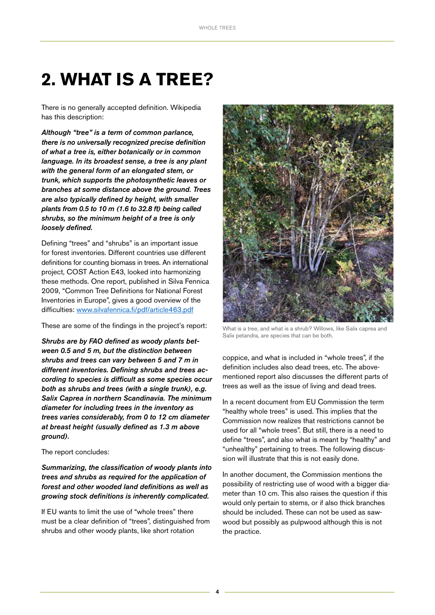## <span id="page-3-0"></span>**2. WHAT IS A TREE?**

There is no generally accepted definition. Wikipedia has this description:

*Although "tree" is a term of common parlance, there is no universally recognized precise definition of what a tree is, either botanically or in common language. In its broadest sense, a tree is any plant with the general form of an elongated stem, or trunk, which supports the photosynthetic leaves or branches at some distance above the ground. Trees are also typically defined by height, with smaller plants from 0.5 to 10 m (1.6 to 32.8 ft) being called shrubs, so the minimum height of a tree is only loosely defined.* 

Defining "trees" and "shrubs" is an important issue for forest inventories. Different countries use different definitions for counting biomass in trees. An international project, COST Action E43, looked into harmonizing these methods. One report, published in Silva Fennica 2009, "Common Tree Definitions for National Forest Inventories in Europe", gives a good overview of the difficulties: [www.silvafennica.fi/pdf/article463.pdf](https://www.silvafennica.fi/pdf/article463.pdf)

These are some of the findings in the project's report:

*Shrubs are by FAO defined as woody plants between 0.5 and 5 m, but the distinction between shrubs and trees can vary between 5 and 7 m in different inventories. Defining shrubs and trees according to species is difficult as some species occur both as shrubs and trees (with a single trunk), e.g. Salix Caprea in northern Scandinavia. The minimum diameter for including trees in the inventory as trees varies considerably, from 0 to 12 cm diameter at breast height (usually defined as 1.3 m above ground).* 

#### The report concludes:

*Summarizing, the classification of woody plants into trees and shrubs as required for the application of forest and other wooded land definitions as well as growing stock definitions is inherently complicated.*

If EU wants to limit the use of "whole trees" there must be a clear definition of "trees", distinguished from shrubs and other woody plants, like short rotation



What is a tree, and what is a shrub? Willows, like Salix caprea and Salix petandra, are species that can be both.

coppice, and what is included in "whole trees", if the definition includes also dead trees, etc. The abovementioned report also discusses the different parts of trees as well as the issue of living and dead trees.

In a recent document from EU Commission the term "healthy whole trees" is used. This implies that the Commission now realizes that restrictions cannot be used for all "whole trees". But still, there is a need to define "trees", and also what is meant by "healthy" and "unhealthy" pertaining to trees. The following discussion will illustrate that this is not easily done.

In another document, the Commission mentions the possibility of restricting use of wood with a bigger diameter than 10 cm. This also raises the question if this would only pertain to stems, or if also thick branches should be included. These can not be used as sawwood but possibly as pulpwood although this is not the practice.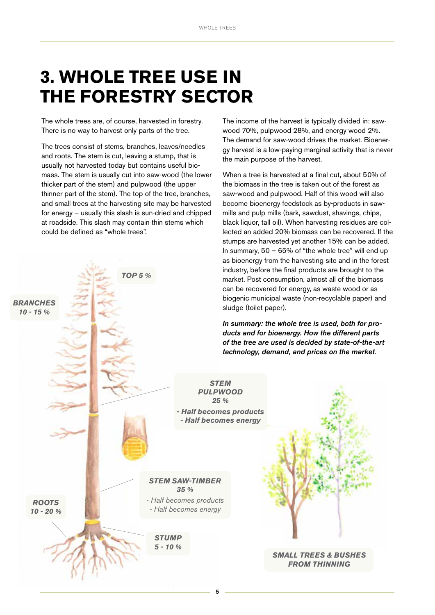## <span id="page-4-0"></span>**3. WHOLE TREE USE IN THE FORESTRY SECTOR**

The whole trees are, of course, harvested in forestry. There is no way to harvest only parts of the tree.

The trees consist of stems, branches, leaves/needles and roots. The stem is cut, leaving a stump, that is usually not harvested today but contains useful biomass. The stem is usually cut into saw-wood (the lower thicker part of the stem) and pulpwood (the upper thinner part of the stem). The top of the tree, branches, and small trees at the harvesting site may be harvested for energy – usually this slash is sun-dried and chipped at roadside. This slash may contain thin stems which could be defined as "whole trees".



5

The income of the harvest is typically divided in: sawwood 70%, pulpwood 28%, and energy wood 2%. The demand for saw-wood drives the market. Bioenergy harvest is a low-paying marginal activity that is never the main purpose of the harvest.

When a tree is harvested at a final cut, about 50% of the biomass in the tree is taken out of the forest as saw-wood and pulpwood. Half of this wood will also become bioenergy feedstock as by-products in sawmills and pulp mills (bark, sawdust, shavings, chips, black liquor, tall oil). When harvesting residues are collected an added 20% biomass can be recovered. If the stumps are harvested yet another 15% can be added. In summary, 50 – 65% of "the whole tree" will end up as bioenergy from the harvesting site and in the forest industry, before the final products are brought to the market. Post consumption, almost all of the biomass can be recovered for energy, as waste wood or as biogenic municipal waste (non-recyclable paper) and

*In summary: the whole tree is used, both for products and for bioenergy. How the different parts of the tree are used is decided by state-of-the-art technology, demand, and prices on the market.*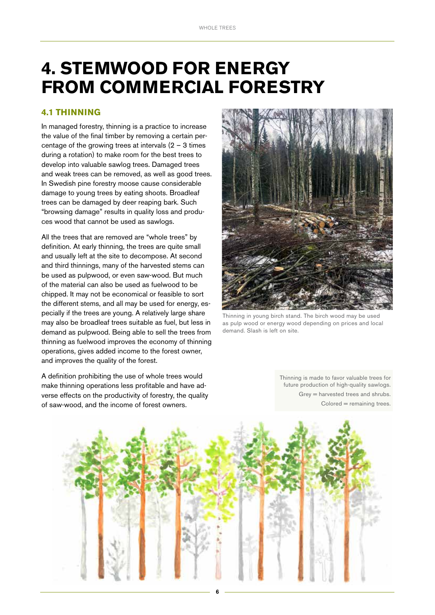## <span id="page-5-0"></span>**4. STEMWOOD FOR ENERGY FROM COMMERCIAL FORESTRY**

### **4.1 THINNING**

In managed forestry, thinning is a practice to increase the value of the final timber by removing a certain percentage of the growing trees at intervals  $(2 - 3)$  times during a rotation) to make room for the best trees to develop into valuable sawlog trees. Damaged trees and weak trees can be removed, as well as good trees. In Swedish pine forestry moose cause considerable damage to young trees by eating shoots. Broadleaf trees can be damaged by deer reaping bark. Such "browsing damage" results in quality loss and produces wood that cannot be used as sawlogs.

All the trees that are removed are "whole trees" by definition. At early thinning, the trees are quite small and usually left at the site to decompose. At second and third thinnings, many of the harvested stems can be used as pulpwood, or even saw-wood. But much of the material can also be used as fuelwood to be chipped. It may not be economical or feasible to sort the different stems, and all may be used for energy, especially if the trees are young. A relatively large share may also be broadleaf trees suitable as fuel, but less in demand as pulpwood. Being able to sell the trees from thinning as fuelwood improves the economy of thinning operations, gives added income to the forest owner, and improves the quality of the forest.

A definition prohibiting the use of whole trees would make thinning operations less profitable and have adverse effects on the productivity of forestry, the quality of saw-wood, and the income of forest owners.



Thinning in young birch stand. The birch wood may be used as pulp wood or energy wood depending on prices and local demand. Slash is left on site.

Thinning is made to favor valuable trees for future production of high-quality sawlogs. Grey = harvested trees and shrubs. Colored = remaining trees.

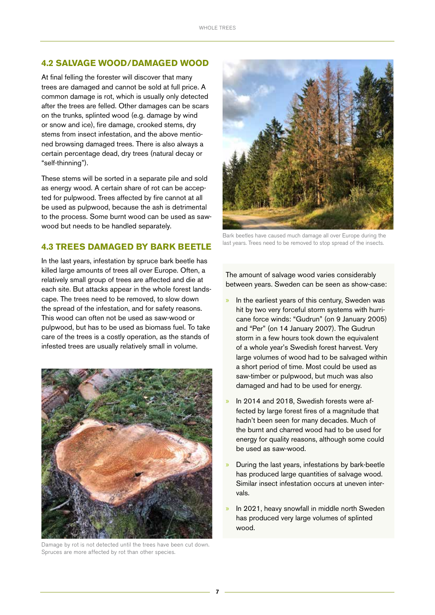## <span id="page-6-0"></span>**4.2 SALVAGE WOOD/DAMAGED WOOD**

At final felling the forester will discover that many trees are damaged and cannot be sold at full price. A common damage is rot, which is usually only detected after the trees are felled. Other damages can be scars on the trunks, splinted wood (e.g. damage by wind or snow and ice), fire damage, crooked stems, dry stems from insect infestation, and the above mentioned browsing damaged trees. There is also always a certain percentage dead, dry trees (natural decay or "self-thinning").

These stems will be sorted in a separate pile and sold as energy wood. A certain share of rot can be accepted for pulpwood. Trees affected by fire cannot at all be used as pulpwood, because the ash is detrimental to the process. Some burnt wood can be used as sawwood but needs to be handled separately.

## **4.3 TREES DAMAGED BY BARK BEETLE**

In the last years, infestation by spruce bark beetle has killed large amounts of trees all over Europe. Often, a relatively small group of trees are affected and die at each site. But attacks appear in the whole forest landscape. The trees need to be removed, to slow down the spread of the infestation, and for safety reasons. This wood can often not be used as saw-wood or pulpwood, but has to be used as biomass fuel. To take care of the trees is a costly operation, as the stands of infested trees are usually relatively small in volume.



Damage by rot is not detected until the trees have been cut down. Spruces are more affected by rot than other species.



Bark beetles have caused much damage all over Europe during the last years. Trees need to be removed to stop spread of the insects.

The amount of salvage wood varies considerably between years. Sweden can be seen as show-case:

- » In the earliest years of this century, Sweden was hit by two very forceful storm systems with hurricane force winds: "Gudrun" (on 9 January 2005) and "Per" (on 14 January 2007). The Gudrun storm in a few hours took down the equivalent of a whole year's Swedish forest harvest. Very large volumes of wood had to be salvaged within a short period of time. Most could be used as saw-timber or pulpwood, but much was also damaged and had to be used for energy.
- In 2014 and 2018, Swedish forests were affected by large forest fires of a magnitude that hadn't been seen for many decades. Much of the burnt and charred wood had to be used for energy for quality reasons, although some could be used as saw-wood.
- » During the last years, infestations by bark-beetle has produced large quantities of salvage wood. Similar insect infestation occurs at uneven intervals.
- In 2021, heavy snowfall in middle north Sweden has produced very large volumes of splinted wood.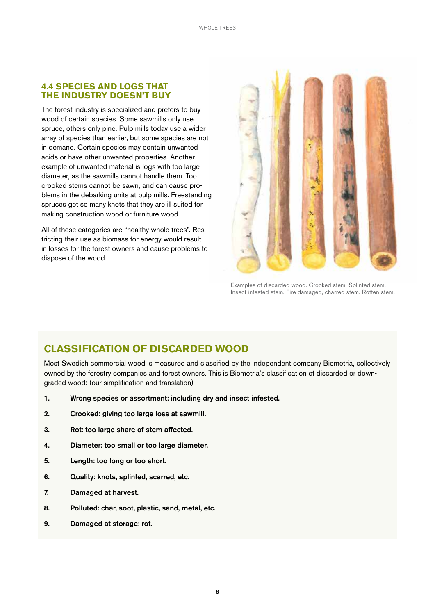### <span id="page-7-0"></span>**4.4 SPECIES AND LOGS THAT THE INDUSTRY DOESN'T BUY**

The forest industry is specialized and prefers to buy wood of certain species. Some sawmills only use spruce, others only pine. Pulp mills today use a wider array of species than earlier, but some species are not in demand. Certain species may contain unwanted acids or have other unwanted properties. Another example of unwanted material is logs with too large diameter, as the sawmills cannot handle them. Too crooked stems cannot be sawn, and can cause problems in the debarking units at pulp mills. Freestanding spruces get so many knots that they are ill suited for making construction wood or furniture wood.

All of these categories are "healthy whole trees". Restricting their use as biomass for energy would result in losses for the forest owners and cause problems to dispose of the wood.



Examples of discarded wood. Crooked stem. Splinted stem. Insect infested stem. Fire damaged, charred stem. Rotten stem.

## **CLASSIFICATION OF DISCARDED WOOD**

Most Swedish commercial wood is measured and classified by the independent company Biometria, collectively owned by the forestry companies and forest owners. This is Biometria's classification of discarded or downgraded wood: (our simplification and translation)

- 1. Wrong species or assortment: including dry and insect infested.
- 2. Crooked: giving too large loss at sawmill.
- 3. Rot: too large share of stem affected.
- 4. Diameter: too small or too large diameter.
- 5. Length: too long or too short.
- 6. Quality: knots, splinted, scarred, etc.
- 7. Damaged at harvest.
- 8. Polluted: char, soot, plastic, sand, metal, etc.
- 9. Damaged at storage: rot.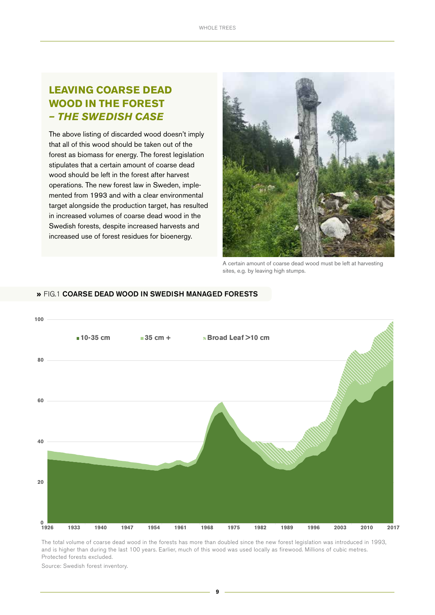## **LEAVING COARSE DEAD WOOD IN THE FOREST**  *– THE SWEDISH CASE*

The above listing of discarded wood doesn't imply that all of this wood should be taken out of the forest as biomass for energy. The forest legislation stipulates that a certain amount of coarse dead wood should be left in the forest after harvest operations. The new forest law in Sweden, implemented from 1993 and with a clear environmental target alongside the production target, has resulted in increased volumes of coarse dead wood in the Swedish forests, despite increased harvests and increased use of forest residues for bioenergy.



A certain amount of coarse dead wood must be left at harvesting sites, e.g. by leaving high stumps.



### » FIG.1 COARSE DEAD WOOD IN SWEDISH MANAGED FORESTS

The total volume of coarse dead wood in the forests has more than doubled since the new forest legislation was introduced in 1993, and is higher than during the last 100 years. Earlier, much of this wood was used locally as firewood. Millions of cubic metres. Protected forests excluded.

Source: Swedish forest inventory.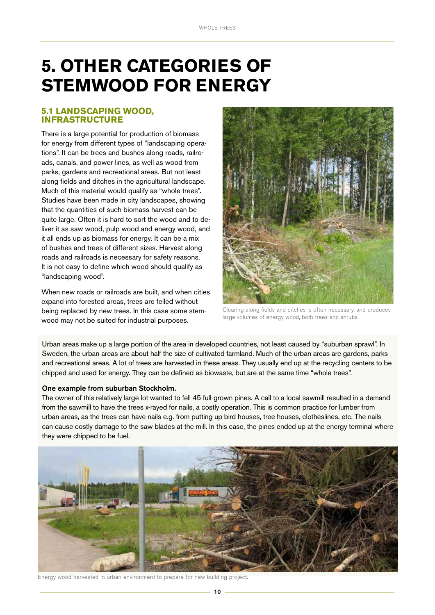## <span id="page-9-0"></span>**5. OTHER CATEGORIES OF STEMWOOD FOR ENERGY**

### **5.1 LANDSCAPING WOOD, INFRASTRUCTURE**

There is a large potential for production of biomass for energy from different types of "landscaping operations". It can be trees and bushes along roads, railroads, canals, and power lines, as well as wood from parks, gardens and recreational areas. But not least along fields and ditches in the agricultural landscape. Much of this material would qualify as "whole trees". Studies have been made in city landscapes, showing that the quantities of such biomass harvest can be quite large. Often it is hard to sort the wood and to deliver it as saw wood, pulp wood and energy wood, and it all ends up as biomass for energy. It can be a mix of bushes and trees of different sizes. Harvest along roads and railroads is necessary for safety reasons. It is not easy to define which wood should qualify as "landscaping wood".

When new roads or railroads are built, and when cities expand into forested areas, trees are felled without being replaced by new trees. In this case some stemwood may not be suited for industrial purposes.



Clearing along fields and ditches is often necessary, and produces large volumes of energy wood, both trees and shrubs.

Urban areas make up a large portion of the area in developed countries, not least caused by "suburban sprawl". In Sweden, the urban areas are about half the size of cultivated farmland. Much of the urban areas are gardens, parks and recreational areas. A lot of trees are harvested in these areas. They usually end up at the recycling centers to be chipped and used for energy. They can be defined as biowaste, but are at the same time "whole trees".

#### One example from suburban Stockholm.

The owner of this relatively large lot wanted to fell 45 full-grown pines. A call to a local sawmill resulted in a demand from the sawmill to have the trees x-rayed for nails, a costly operation. This is common practice for lumber from urban areas, as the trees can have nails e.g. from putting up bird houses, tree houses, clotheslines, etc. The nails can cause costly damage to the saw blades at the mill. In this case, the pines ended up at the energy terminal where they were chipped to be fuel.



Energy wood harvested in urban environment to prepare for new building project.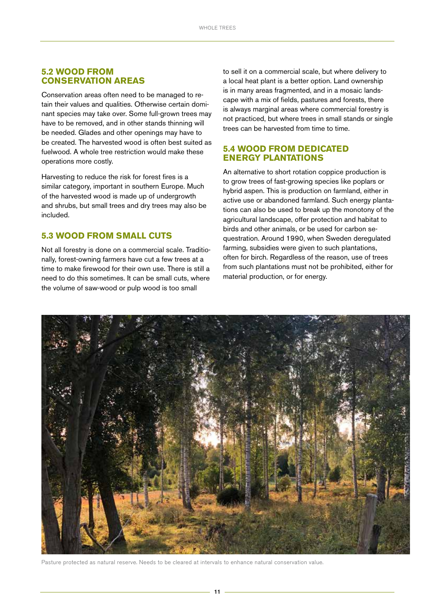### <span id="page-10-0"></span>**5.2 WOOD FROM CONSERVATION AREAS**

Conservation areas often need to be managed to retain their values and qualities. Otherwise certain dominant species may take over. Some full-grown trees may have to be removed, and in other stands thinning will be needed. Glades and other openings may have to be created. The harvested wood is often best suited as fuelwood. A whole tree restriction would make these operations more costly.

Harvesting to reduce the risk for forest fires is a similar category, important in southern Europe. Much of the harvested wood is made up of undergrowth and shrubs, but small trees and dry trees may also be included.

### **5.3 WOOD FROM SMALL CUTS**

Not all forestry is done on a commercial scale. Traditionally, forest-owning farmers have cut a few trees at a time to make firewood for their own use. There is still a need to do this sometimes. It can be small cuts, where the volume of saw-wood or pulp wood is too small

to sell it on a commercial scale, but where delivery to a local heat plant is a better option. Land ownership is in many areas fragmented, and in a mosaic landscape with a mix of fields, pastures and forests, there is always marginal areas where commercial forestry is not practiced, but where trees in small stands or single trees can be harvested from time to time.

## **5.4 WOOD FROM DEDICATED ENERGY PLANTATIONS**

An alternative to short rotation coppice production is to grow trees of fast-growing species like poplars or hybrid aspen. This is production on farmland, either in active use or abandoned farmland. Such energy plantations can also be used to break up the monotony of the agricultural landscape, offer protection and habitat to birds and other animals, or be used for carbon sequestration. Around 1990, when Sweden deregulated farming, subsidies were given to such plantations, often for birch. Regardless of the reason, use of trees from such plantations must not be prohibited, either for material production, or for energy.



Pasture protected as natural reserve. Needs to be cleared at intervals to enhance natural conservation value.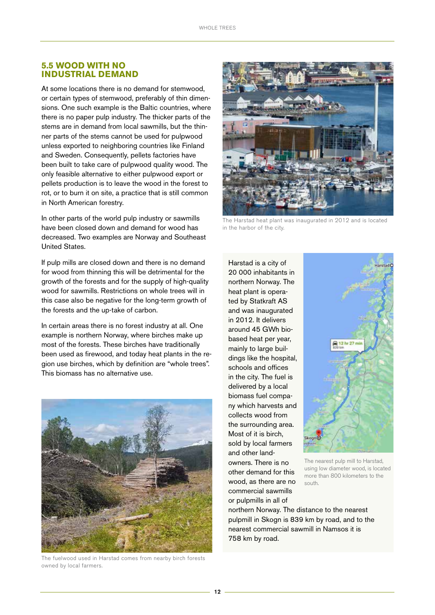### <span id="page-11-0"></span>**5.5 WOOD WITH NO INDUSTRIAL DEMAND**

At some locations there is no demand for stemwood, or certain types of stemwood, preferably of thin dimensions. One such example is the Baltic countries, where there is no paper pulp industry. The thicker parts of the stems are in demand from local sawmills, but the thinner parts of the stems cannot be used for pulpwood unless exported to neighboring countries like Finland and Sweden. Consequently, pellets factories have been built to take care of pulpwood quality wood. The only feasible alternative to either pulpwood export or pellets production is to leave the wood in the forest to rot, or to burn it on site, a practice that is still common in North American forestry.

In other parts of the world pulp industry or sawmills have been closed down and demand for wood has decreased. Two examples are Norway and Southeast United States.

If pulp mills are closed down and there is no demand for wood from thinning this will be detrimental for the growth of the forests and for the supply of high-quality wood for sawmills. Restrictions on whole trees will in this case also be negative for the long-term growth of the forests and the up-take of carbon.

In certain areas there is no forest industry at all. One example is northern Norway, where birches make up most of the forests. These birches have traditionally been used as firewood, and today heat plants in the region use birches, which by definition are "whole trees". This biomass has no alternative use.



The fuelwood used in Harstad comes from nearby birch forests owned by local farmers.



The Harstad heat plant was inaugurated in 2012 and is located in the harbor of the city.

Harstad is a city of 20 000 inhabitants in northern Norway. The heat plant is operated by Statkraft AS and was inaugurated in 2012. It delivers around 45 GWh biobased heat per year, mainly to large buildings like the hospital, schools and offices in the city. The fuel is delivered by a local biomass fuel company which harvests and collects wood from the surrounding area. Most of it is birch, sold by local farmers and other landowners. There is no other demand for this wood, as there are no commercial sawmills or pulpmills in all of



The nearest pulp mill to Harstad, using low diameter wood, is located more than 800 kilometers to the south.

northern Norway. The distance to the nearest pulpmill in Skogn is 839 km by road, and to the nearest commercial sawmill in Namsos it is 758 km by road.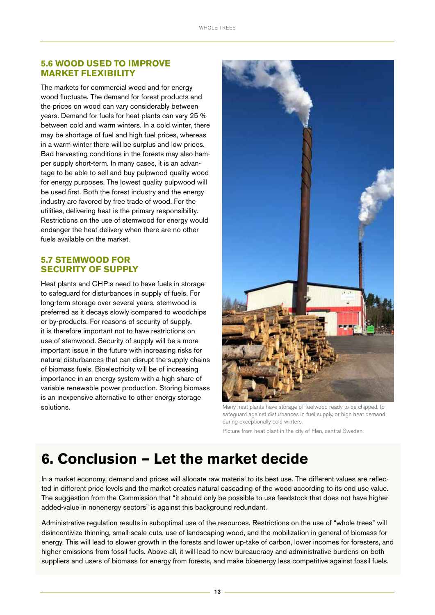### <span id="page-12-0"></span>**5.6 WOOD USED TO IMPROVE MARKET FLEXIBILITY**

The markets for commercial wood and for energy wood fluctuate. The demand for forest products and the prices on wood can vary considerably between years. Demand for fuels for heat plants can vary 25 % between cold and warm winters. In a cold winter, there may be shortage of fuel and high fuel prices, whereas in a warm winter there will be surplus and low prices. Bad harvesting conditions in the forests may also hamper supply short-term. In many cases, it is an advantage to be able to sell and buy pulpwood quality wood for energy purposes. The lowest quality pulpwood will be used first. Both the forest industry and the energy industry are favored by free trade of wood. For the utilities, delivering heat is the primary responsibility. Restrictions on the use of stemwood for energy would endanger the heat delivery when there are no other fuels available on the market.

## **5.7 STEMWOOD FOR SECURITY OF SUPPLY**

Heat plants and CHP:s need to have fuels in storage to safeguard for disturbances in supply of fuels. For long-term storage over several years, stemwood is preferred as it decays slowly compared to woodchips or by-products. For reasons of security of supply, it is therefore important not to have restrictions on use of stemwood. Security of supply will be a more important issue in the future with increasing risks for natural disturbances that can disrupt the supply chains of biomass fuels. Bioelectricity will be of increasing importance in an energy system with a high share of variable renewable power production. Storing biomass is an inexpensive alternative to other energy storage solutions. The solutions of the many heat plants have storage of fuelwood ready to be chipped, to be chipped, to



safeguard against disturbances in fuel supply, or high heat demand during exceptionally cold winters. Picture from heat plant in the city of Flen, central Sweden.

## **6. Conclusion – Let the market decide**

In a market economy, demand and prices will allocate raw material to its best use. The different values are reflected in different price levels and the market creates natural cascading of the wood according to its end use value. The suggestion from the Commission that "it should only be possible to use feedstock that does not have higher added-value in nonenergy sectors" is against this background redundant.

Administrative regulation results in suboptimal use of the resources. Restrictions on the use of "whole trees" will disincentivize thinning, small-scale cuts, use of landscaping wood, and the mobilization in general of biomass for energy. This will lead to slower growth in the forests and lower up-take of carbon, lower incomes for foresters, and higher emissions from fossil fuels. Above all, it will lead to new bureaucracy and administrative burdens on both suppliers and users of biomass for energy from forests, and make bioenergy less competitive against fossil fuels.